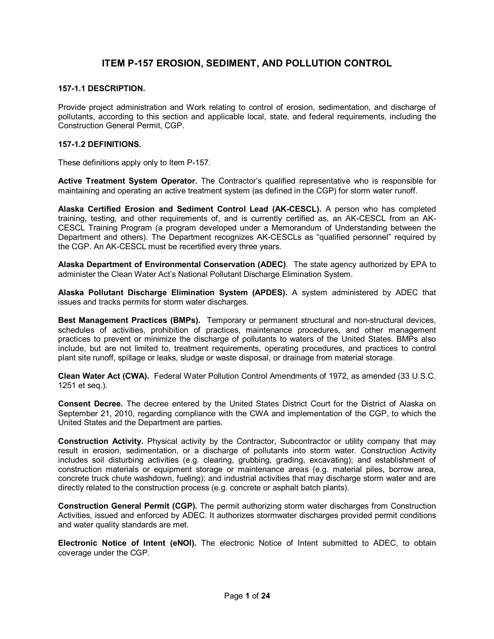# **ITEM P157 EROSION, SEDIMENT, AND POLLUTION CONTROL**

# **1571.1 DESCRIPTION.**

Provide project administration and Work relating to control of erosion, sedimentation, and discharge of pollutants, according to this section and applicable local, state, and federal requirements, including the Construction General Permit, CGP.

## **1571.2 DEFINITIONS.**

These definitions apply only to Item P-157.

**Active Treatment System Operator.** The Contractor's qualified representative who is responsible for maintaining and operating an active treatment system (as defined in the CGP) for storm water runoff.

**Alaska Certified Erosion and Sediment Control Lead (AKCESCL).** A person who has completed training, testing, and other requirements of, and is currently certified as, an AK-CESCL from an AK-CESCL Training Program (a program developed under a Memorandum of Understanding between the Department and others). The Department recognizes AK-CESCLs as "qualified personnel" required by the CGP. An AK-CESCL must be recertified every three years.

**Alaska Department of Environmental Conservation (ADEC)**. The state agency authorized by EPA to administer the Clean Water Act's National Pollutant Discharge Elimination System.

**Alaska Pollutant Discharge Elimination System (APDES).** A system administered by ADEC that issues and tracks permits for storm water discharges.

**Best Management Practices (BMPs).** Temporary or permanent structural and non-structural devices, schedules of activities, prohibition of practices, maintenance procedures, and other management practices to prevent or minimize the discharge of pollutants to waters of the United States. BMPs also include, but are not limited to, treatment requirements, operating procedures, and practices to control plant site runoff, spillage or leaks, sludge or waste disposal, or drainage from material storage.

**Clean Water Act (CWA).** Federal Water Pollution Control Amendments of 1972, as amended (33 U.S.C. 1251 et seq.).

**Consent Decree.** The decree entered by the United States District Court for the District of Alaska on September 21, 2010, regarding compliance with the CWA and implementation of the CGP, to which the United States and the Department are parties.

**Construction Activity.** Physical activity by the Contractor, Subcontractor or utility company that may result in erosion, sedimentation, or a discharge of pollutants into storm water. Construction Activity includes soil disturbing activities (e.g. clearing, grubbing, grading, excavating); and establishment of construction materials or equipment storage or maintenance areas (e.g. material piles, borrow area, concrete truck chute washdown, fueling); and industrial activities that may discharge storm water and are directly related to the construction process (e.g. concrete or asphalt batch plants).

**Construction General Permit (CGP).** The permit authorizing storm water discharges from Construction Activities, issued and enforced by ADEC. It authorizes stormwater discharges provided permit conditions and water quality standards are met.

**Electronic Notice of Intent (eNOI).** The electronic Notice of Intent submitted to ADEC, to obtain coverage under the CGP.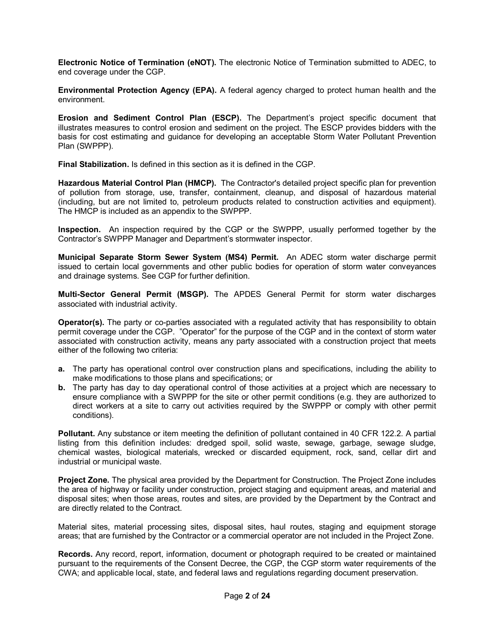**Electronic Notice of Termination (eNOT).** The electronic Notice of Termination submitted to ADEC, to end coverage under the CGP.

**Environmental Protection Agency (EPA).** A federal agency charged to protect human health and the environment.

**Erosion and Sediment Control Plan (ESCP).** The Department's project specific document that illustrates measures to control erosion and sediment on the project. The ESCP provides bidders with the basis for cost estimating and guidance for developing an acceptable Storm Water Pollutant Prevention Plan (SWPPP).

**Final Stabilization.** Is defined in this section as it is defined in the CGP.

**Hazardous Material Control Plan (HMCP).** The Contractor's detailed project specific plan for prevention of pollution from storage, use, transfer, containment, cleanup, and disposal of hazardous material (including, but are not limited to, petroleum products related to construction activities and equipment). The HMCP is included as an appendix to the SWPPP.

**Inspection.** An inspection required by the CGP or the SWPPP, usually performed together by the Contractor's SWPPP Manager and Department's stormwater inspector.

**Municipal Separate Storm Sewer System (MS4) Permit.** An ADEC storm water discharge permit issued to certain local governments and other public bodies for operation of storm water conveyances and drainage systems. See CGP for further definition.

**MultiSector General Permit (MSGP).** The APDES General Permit for storm water discharges associated with industrial activity.

**Operator(s).** The party or co-parties associated with a regulated activity that has responsibility to obtain permit coverage under the CGP. "Operator" for the purpose of the CGP and in the context of storm water associated with construction activity, means any party associated with a construction project that meets either of the following two criteria:

- **a.** The party has operational control over construction plans and specifications, including the ability to make modifications to those plans and specifications; or
- **b.** The party has day to day operational control of those activities at a project which are necessary to ensure compliance with a SWPPP for the site or other permit conditions (e.g. they are authorized to direct workers at a site to carry out activities required by the SWPPP or comply with other permit conditions).

**Pollutant.** Any substance or item meeting the definition of pollutant contained in 40 CFR 122.2. A partial listing from this definition includes: dredged spoil, solid waste, sewage, garbage, sewage sludge, chemical wastes, biological materials, wrecked or discarded equipment, rock, sand, cellar dirt and industrial or municipal waste.

**Project Zone.** The physical area provided by the Department for Construction. The Project Zone includes the area of highway or facility under construction, project staging and equipment areas, and material and disposal sites; when those areas, routes and sites, are provided by the Department by the Contract and are directly related to the Contract.

Material sites, material processing sites, disposal sites, haul routes, staging and equipment storage areas; that are furnished by the Contractor or a commercial operator are not included in the Project Zone.

**Records.** Any record, report, information, document or photograph required to be created or maintained pursuant to the requirements of the Consent Decree, the CGP, the CGP storm water requirements of the CWA; and applicable local, state, and federal laws and regulations regarding document preservation.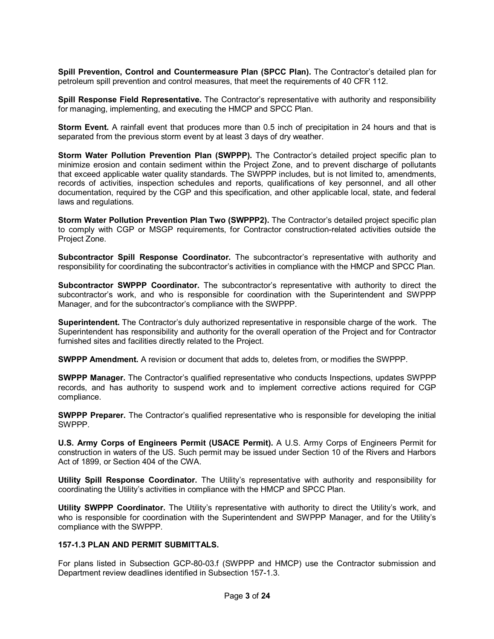**Spill Prevention, Control and Countermeasure Plan (SPCC Plan).** The Contractor's detailed plan for petroleum spill prevention and control measures, that meet the requirements of 40 CFR 112.

**Spill Response Field Representative.** The Contractor's representative with authority and responsibility for managing, implementing, and executing the HMCP and SPCC Plan.

**Storm Event.** A rainfall event that produces more than 0.5 inch of precipitation in 24 hours and that is separated from the previous storm event by at least 3 days of dry weather.

**Storm Water Pollution Prevention Plan (SWPPP).** The Contractor's detailed project specific plan to minimize erosion and contain sediment within the Project Zone, and to prevent discharge of pollutants that exceed applicable water quality standards. The SWPPP includes, but is not limited to, amendments, records of activities, inspection schedules and reports, qualifications of key personnel, and all other documentation, required by the CGP and this specification, and other applicable local, state, and federal laws and regulations.

**Storm Water Pollution Prevention Plan Two (SWPPP2).** The Contractor's detailed project specific plan to comply with CGP or MSGP requirements, for Contractor construction-related activities outside the Project Zone.

**Subcontractor Spill Response Coordinator.** The subcontractor's representative with authority and responsibility for coordinating the subcontractor's activities in compliance with the HMCP and SPCC Plan.

**Subcontractor SWPPP Coordinator.** The subcontractor's representative with authority to direct the subcontractor's work, and who is responsible for coordination with the Superintendent and SWPPP Manager, and for the subcontractor's compliance with the SWPPP.

**Superintendent.** The Contractor's duly authorized representative in responsible charge of the work. The Superintendent has responsibility and authority for the overall operation of the Project and for Contractor furnished sites and facilities directly related to the Project.

**SWPPP Amendment.** A revision or document that adds to, deletes from, or modifies the SWPPP.

**SWPPP Manager.** The Contractor's qualified representative who conducts Inspections, updates SWPPP records, and has authority to suspend work and to implement corrective actions required for CGP compliance.

**SWPPP Preparer.** The Contractor's qualified representative who is responsible for developing the initial SWPPP.

**U.S. Army Corps of Engineers Permit (USACE Permit).** A U.S. Army Corps of Engineers Permit for construction in waters of the US. Such permit may be issued under Section 10 of the Rivers and Harbors Act of 1899, or Section 404 of the CWA.

**Utility Spill Response Coordinator.** The Utility's representative with authority and responsibility for coordinating the Utility's activities in compliance with the HMCP and SPCC Plan.

**Utility SWPPP Coordinator.** The Utility's representative with authority to direct the Utility's work, and who is responsible for coordination with the Superintendent and SWPPP Manager, and for the Utility's compliance with the SWPPP.

#### **1571.3 PLAN AND PERMIT SUBMITTALS.**

For plans listed in Subsection GCP-80-03.f (SWPPP and HMCP) use the Contractor submission and Department review deadlines identified in Subsection 157-1.3.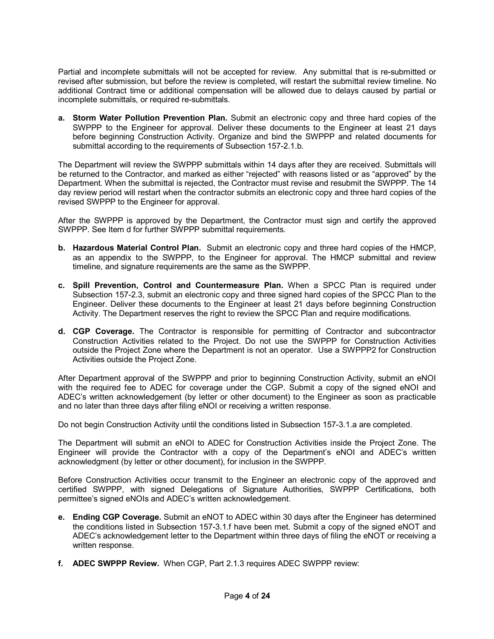Partial and incomplete submittals will not be accepted for review. Any submittal that is re-submitted or revised after submission, but before the review is completed, will restart the submittal review timeline. No additional Contract time or additional compensation will be allowed due to delays caused by partial or incomplete submittals, or required re-submittals.

**a. Storm Water Pollution Prevention Plan.** Submit an electronic copy and three hard copies of the SWPPP to the Engineer for approval. Deliver these documents to the Engineer at least 21 days before beginning Construction Activity. Organize and bind the SWPPP and related documents for submittal according to the requirements of Subsection 157-2.1.b.

The Department will review the SWPPP submittals within 14 days after they are received. Submittals will be returned to the Contractor, and marked as either "rejected" with reasons listed or as "approved" by the Department. When the submittal is rejected, the Contractor must revise and resubmit the SWPPP. The 14 day review period will restart when the contractor submits an electronic copy and three hard copies of the revised SWPPP to the Engineer for approval.

After the SWPPP is approved by the Department, the Contractor must sign and certify the approved SWPPP. See Item d for further SWPPP submittal requirements.

- **b. Hazardous Material Control Plan.** Submit an electronic copy and three hard copies of the HMCP, as an appendix to the SWPPP, to the Engineer for approval. The HMCP submittal and review timeline, and signature requirements are the same as the SWPPP.
- **c. Spill Prevention, Control and Countermeasure Plan.** When a SPCC Plan is required under Subsection 157-2.3, submit an electronic copy and three signed hard copies of the SPCC Plan to the Engineer. Deliver these documents to the Engineer at least 21 days before beginning Construction Activity. The Department reserves the right to review the SPCC Plan and require modifications.
- **d. CGP Coverage.** The Contractor is responsible for permitting of Contractor and subcontractor Construction Activities related to the Project. Do not use the SWPPP for Construction Activities outside the Project Zone where the Department is not an operator. Use a SWPPP2 for Construction Activities outside the Project Zone.

After Department approval of the SWPPP and prior to beginning Construction Activity, submit an eNOI with the required fee to ADEC for coverage under the CGP. Submit a copy of the signed eNOI and ADEC's written acknowledgement (by letter or other document) to the Engineer as soon as practicable and no later than three days after filing eNOI or receiving a written response.

Do not begin Construction Activity until the conditions listed in Subsection 157-3.1.a are completed.

The Department will submit an eNOI to ADEC for Construction Activities inside the Project Zone. The Engineer will provide the Contractor with a copy of the Department's eNOI and ADEC's written acknowledgment (by letter or other document), for inclusion in the SWPPP.

Before Construction Activities occur transmit to the Engineer an electronic copy of the approved and certified SWPPP, with signed Delegations of Signature Authorities, SWPPP Certifications, both permittee's signed eNOIs and ADEC's written acknowledgement.

- **e. Ending CGP Coverage.** Submit an eNOT to ADEC within 30 days after the Engineer has determined the conditions listed in Subsection 1573.1.f have been met. Submit a copy of the signed eNOT and ADEC's acknowledgement letter to the Department within three days of filing the eNOT or receiving a written response.
- **f. ADEC SWPPP Review.** When CGP, Part 2.1.3 requires ADEC SWPPP review: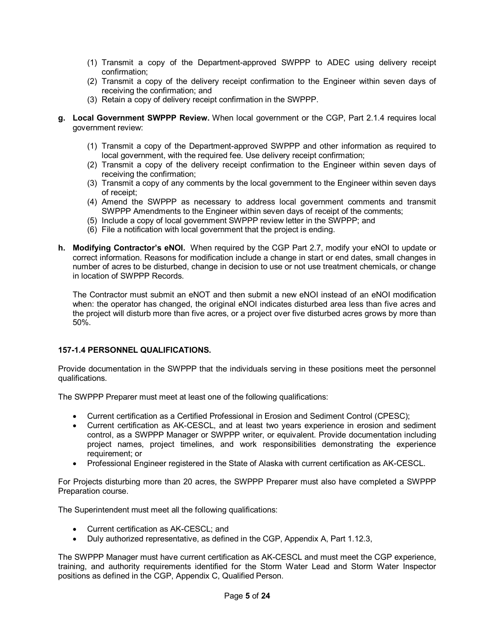- (1) Transmit a copy of the Department-approved SWPPP to ADEC using delivery receipt confirmation;
- (2) Transmit a copy of the delivery receipt confirmation to the Engineer within seven days of receiving the confirmation; and
- (3) Retain a copy of delivery receipt confirmation in the SWPPP.
- **g. Local Government SWPPP Review.** When local government or the CGP, Part 2.1.4 requires local government review:
	- (1) Transmit a copy of the Department-approved SWPPP and other information as required to local government, with the required fee. Use delivery receipt confirmation;
	- (2) Transmit a copy of the delivery receipt confirmation to the Engineer within seven days of receiving the confirmation;
	- (3) Transmit a copy of any comments by the local government to the Engineer within seven days of receipt;
	- (4) Amend the SWPPP as necessary to address local government comments and transmit SWPPP Amendments to the Engineer within seven days of receipt of the comments;
	- (5) Include a copy of local government SWPPP review letter in the SWPPP; and
	- (6) File a notification with local government that the project is ending.
- **h. Modifying Contractor's eNOI.** When required by the CGP Part 2.7, modify your eNOI to update or correct information. Reasons for modification include a change in start or end dates, small changes in number of acres to be disturbed, change in decision to use or not use treatment chemicals, or change in location of SWPPP Records.

The Contractor must submit an eNOT and then submit a new eNOI instead of an eNOI modification when: the operator has changed, the original eNOI indicates disturbed area less than five acres and the project will disturb more than five acres, or a project over five disturbed acres grows by more than 50%.

# **1571.4 PERSONNEL QUALIFICATIONS.**

Provide documentation in the SWPPP that the individuals serving in these positions meet the personnel qualifications.

The SWPPP Preparer must meet at least one of the following qualifications:

- · Current certification as a Certified Professional in Erosion and Sediment Control (CPESC);
- Current certification as AK-CESCL, and at least two years experience in erosion and sediment control, as a SWPPP Manager or SWPPP writer, or equivalent. Provide documentation including project names, project timelines, and work responsibilities demonstrating the experience requirement; or
- · Professional Engineer registered in the State of Alaska with current certification as AKCESCL.

For Projects disturbing more than 20 acres, the SWPPP Preparer must also have completed a SWPPP Preparation course.

The Superintendent must meet all the following qualifications:

- Current certification as AK-CESCL; and
- · Duly authorized representative, as defined in the CGP, Appendix A, Part 1.12.3,

The SWPPP Manager must have current certification as AK-CESCL and must meet the CGP experience, training, and authority requirements identified for the Storm Water Lead and Storm Water Inspector positions as defined in the CGP, Appendix C, Qualified Person.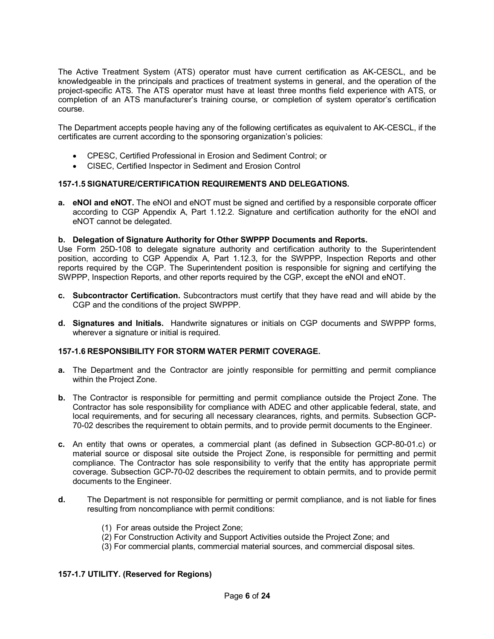The Active Treatment System (ATS) operator must have current certification as AK-CESCL, and be knowledgeable in the principals and practices of treatment systems in general, and the operation of the project-specific ATS. The ATS operator must have at least three months field experience with ATS, or completion of an ATS manufacturer's training course, or completion of system operator's certification course.

The Department accepts people having any of the following certificates as equivalent to AKCESCL, if the certificates are current according to the sponsoring organization's policies:

- · CPESC, Certified Professional in Erosion and Sediment Control; or
- · CISEC, Certified Inspector in Sediment and Erosion Control

# **1571.5 SIGNATURE/CERTIFICATION REQUIREMENTS AND DELEGATIONS.**

**a. eNOI and eNOT.** The eNOI and eNOT must be signed and certified by a responsible corporate officer according to CGP Appendix A, Part 1.12.2. Signature and certification authority for the eNOI and eNOT cannot be delegated.

## **b. Delegation of Signature Authority for Other SWPPP Documents and Reports.**

Use Form 25D-108 to delegate signature authority and certification authority to the Superintendent position, according to CGP Appendix A, Part 1.12.3, for the SWPPP, Inspection Reports and other reports required by the CGP. The Superintendent position is responsible for signing and certifying the SWPPP, Inspection Reports, and other reports required by the CGP, except the eNOI and eNOT.

- **c. Subcontractor Certification.** Subcontractors must certify that they have read and will abide by the CGP and the conditions of the project SWPPP.
- **d. Signatures and Initials.** Handwrite signatures or initials on CGP documents and SWPPP forms, wherever a signature or initial is required.

# **1571.6 RESPONSIBILITY FOR STORM WATER PERMIT COVERAGE.**

- **a.** The Department and the Contractor are jointly responsible for permitting and permit compliance within the Project Zone.
- **b.** The Contractor is responsible for permitting and permit compliance outside the Project Zone. The Contractor has sole responsibility for compliance with ADEC and other applicable federal, state, and local requirements, and for securing all necessary clearances, rights, and permits. Subsection GCP 7002 describes the requirement to obtain permits, and to provide permit documents to the Engineer.
- c. An entity that owns or operates, a commercial plant (as defined in Subsection GCP-80-01.c) or material source or disposal site outside the Project Zone, is responsible for permitting and permit compliance. The Contractor has sole responsibility to verify that the entity has appropriate permit coverage. Subsection GCP-70-02 describes the requirement to obtain permits, and to provide permit documents to the Engineer.
- **d.** The Department is not responsible for permitting or permit compliance, and is not liable for fines resulting from noncompliance with permit conditions:
	- (1) For areas outside the Project Zone;
	- (2) For Construction Activity and Support Activities outside the Project Zone; and
	- (3) For commercial plants, commercial material sources, and commercial disposal sites.

#### **1571.7 UTILITY. (Reserved for Regions)**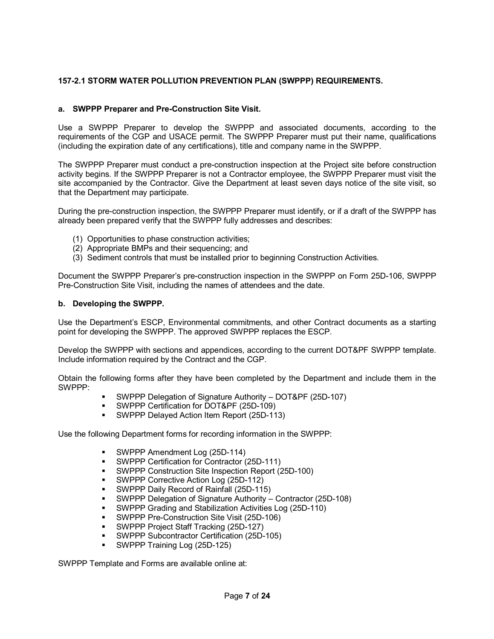# **1572.1 STORM WATER POLLUTION PREVENTION PLAN (SWPPP) REQUIREMENTS.**

# **a. SWPPP Preparer and PreConstruction Site Visit.**

Use a SWPPP Preparer to develop the SWPPP and associated documents, according to the requirements of the CGP and USACE permit. The SWPPP Preparer must put their name, qualifications (including the expiration date of any certifications), title and company name in the SWPPP.

The SWPPP Preparer must conduct a pre-construction inspection at the Project site before construction activity begins. If the SWPPP Preparer is not a Contractor employee, the SWPPP Preparer must visit the site accompanied by the Contractor. Give the Department at least seven days notice of the site visit, so that the Department may participate.

During the pre-construction inspection, the SWPPP Preparer must identify, or if a draft of the SWPPP has already been prepared verify that the SWPPP fully addresses and describes:

- (1) Opportunities to phase construction activities;
- (2) Appropriate BMPs and their sequencing; and
- (3) Sediment controls that must be installed prior to beginning Construction Activities.

Document the SWPPP Preparer's pre-construction inspection in the SWPPP on Form 25D-106, SWPPP PreConstruction Site Visit, including the names of attendees and the date.

## **b. Developing the SWPPP.**

Use the Department's ESCP, Environmental commitments, and other Contract documents as a starting point for developing the SWPPP. The approved SWPPP replaces the ESCP.

Develop the SWPPP with sections and appendices, according to the current DOT&PF SWPPP template. Include information required by the Contract and the CGP.

Obtain the following forms after they have been completed by the Department and include them in the SWPPP:

- SWPPP Delegation of Signature Authority DOT&PF (25D-107)
- **SWPPP Certification for DOT&PF (25D-109)**
- SWPPP Delayed Action Item Report (25D-113)

Use the following Department forms for recording information in the SWPPP:

- SWPPP Amendment Log (25D-114)
- **SWPPP Certification for Contractor (25D-111)**
- SWPPP Construction Site Inspection Report (25D-100)
- SWPPP Corrective Action Log (25D-112)
- **SWPPP Daily Record of Rainfall (25D-115)**
- SWPPP Delegation of Signature Authority Contractor (25D-108)
- **SWPPP Grading and Stabilization Activities Log (25D-110)**
- SWPPP Pre-Construction Site Visit (25D-106)
- SWPPP Project Staff Tracking (25D-127)
- **SWPPP Subcontractor Certification (25D-105)**
- SWPPP Training Log (25D-125)

SWPPP Template and Forms are available online at: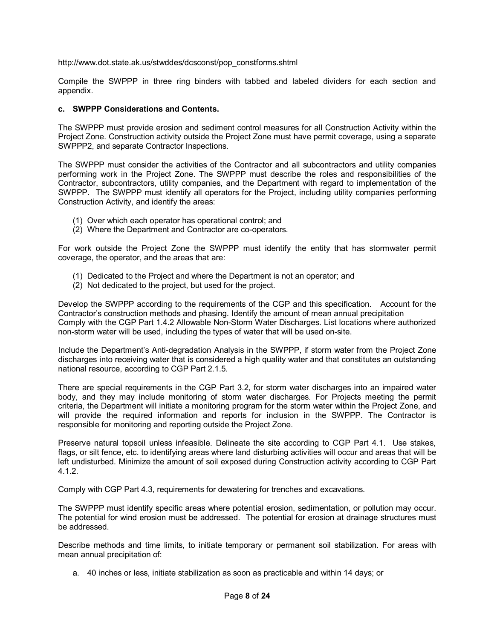http://www.dot.state.ak.us/stwddes/dcsconst/pop\_constforms.shtml

Compile the SWPPP in three ring binders with tabbed and labeled dividers for each section and appendix.

## **c. SWPPP Considerations and Contents.**

The SWPPP must provide erosion and sediment control measures for all Construction Activity within the Project Zone. Construction activity outside the Project Zone must have permit coverage, using a separate SWPPP2, and separate Contractor Inspections.

The SWPPP must consider the activities of the Contractor and all subcontractors and utility companies performing work in the Project Zone. The SWPPP must describe the roles and responsibilities of the Contractor, subcontractors, utility companies, and the Department with regard to implementation of the SWPPP. The SWPPP must identify all operators for the Project, including utility companies performing Construction Activity, and identify the areas:

- (1) Over which each operator has operational control; and
- (2) Where the Department and Contractor are co-operators.

For work outside the Project Zone the SWPPP must identify the entity that has stormwater permit coverage, the operator, and the areas that are:

- (1) Dedicated to the Project and where the Department is not an operator; and
- (2) Not dedicated to the project, but used for the project.

Develop the SWPPP according to the requirements of the CGP and this specification. Account for the Contractor's construction methods and phasing. Identify the amount of mean annual precipitation Comply with the CGP Part 1.4.2 Allowable Non-Storm Water Discharges. List locations where authorized non-storm water will be used, including the types of water that will be used on-site.

Include the Department's Anti-degradation Analysis in the SWPPP, if storm water from the Project Zone discharges into receiving water that is considered a high quality water and that constitutes an outstanding national resource, according to CGP Part 2.1.5.

There are special requirements in the CGP Part 3.2, for storm water discharges into an impaired water body, and they may include monitoring of storm water discharges. For Projects meeting the permit criteria, the Department will initiate a monitoring program for the storm water within the Project Zone, and will provide the required information and reports for inclusion in the SWPPP. The Contractor is responsible for monitoring and reporting outside the Project Zone.

Preserve natural topsoil unless infeasible. Delineate the site according to CGP Part 4.1. Use stakes, flags, or silt fence, etc. to identifying areas where land disturbing activities will occur and areas that will be left undisturbed. Minimize the amount of soil exposed during Construction activity according to CGP Part 4.1.2.

Comply with CGP Part 4.3, requirements for dewatering for trenches and excavations.

The SWPPP must identify specific areas where potential erosion, sedimentation, or pollution may occur. The potential for wind erosion must be addressed. The potential for erosion at drainage structures must be addressed.

Describe methods and time limits, to initiate temporary or permanent soil stabilization. For areas with mean annual precipitation of:

a. 40 inches or less, initiate stabilization as soon as practicable and within 14 days; or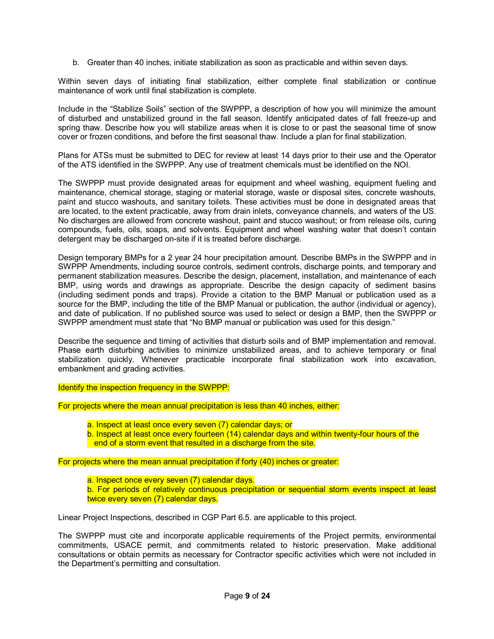b. Greater than 40 inches, initiate stabilization as soon as practicable and within seven days.

Within seven days of initiating final stabilization, either complete final stabilization or continue maintenance of work until final stabilization is complete.

Include in the "Stabilize Soils" section of the SWPPP, a description of how you will minimize the amount of disturbed and unstabilized ground in the fall season. Identify anticipated dates of fall freeze-up and spring thaw. Describe how you will stabilize areas when it is close to or past the seasonal time of snow cover or frozen conditions, and before the first seasonal thaw. Include a plan for final stabilization.

Plans for ATSs must be submitted to DEC for review at least 14 days prior to their use and the Operator of the ATS identified in the SWPPP. Any use of treatment chemicals must be identified on the NOI.

The SWPPP must provide designated areas for equipment and wheel washing, equipment fueling and maintenance, chemical storage, staging or material storage, waste or disposal sites, concrete washouts, paint and stucco washouts, and sanitary toilets. These activities must be done in designated areas that are located, to the extent practicable, away from drain inlets, conveyance channels, and waters of the US. No discharges are allowed from concrete washout, paint and stucco washout; or from release oils, curing compounds, fuels, oils, soaps, and solvents. Equipment and wheel washing water that doesn't contain detergent may be discharged on-site if it is treated before discharge.

Design temporary BMPs for a 2 year 24 hour precipitation amount. Describe BMPs in the SWPPP and in SWPPP Amendments, including source controls, sediment controls, discharge points, and temporary and permanent stabilization measures. Describe the design, placement, installation, and maintenance of each BMP, using words and drawings as appropriate. Describe the design capacity of sediment basins (including sediment ponds and traps). Provide a citation to the BMP Manual or publication used as a source for the BMP, including the title of the BMP Manual or publication, the author (individual or agency), and date of publication. If no published source was used to select or design a BMP, then the SWPPP or SWPPP amendment must state that "No BMP manual or publication was used for this design."

Describe the sequence and timing of activities that disturb soils and of BMP implementation and removal. Phase earth disturbing activities to minimize unstabilized areas, and to achieve temporary or final stabilization quickly. Whenever practicable incorporate final stabilization work into excavation, embankment and grading activities.

Identify the inspection frequency in the SWPPP:

For projects where the mean annual precipitation is less than 40 inches, either:

- a. Inspect at least once every seven (7) calendar days; or
- b. Inspect at least once every fourteen (14) calendar days and within twenty-four hours of the end of a storm event that resulted in a discharge from the site.

For projects where the mean annual precipitation if forty (40) inches or greater:

- a. Inspect once every seven (7) calendar days.
- b. For periods of relatively continuous precipitation or sequential storm events inspect at least twice every seven (7) calendar days.

Linear Project Inspections, described in CGP Part 6.5. are applicable to this project.

The SWPPP must cite and incorporate applicable requirements of the Project permits, environmental commitments, USACE permit, and commitments related to historic preservation. Make additional consultations or obtain permits as necessary for Contractor specific activities which were not included in the Department's permitting and consultation.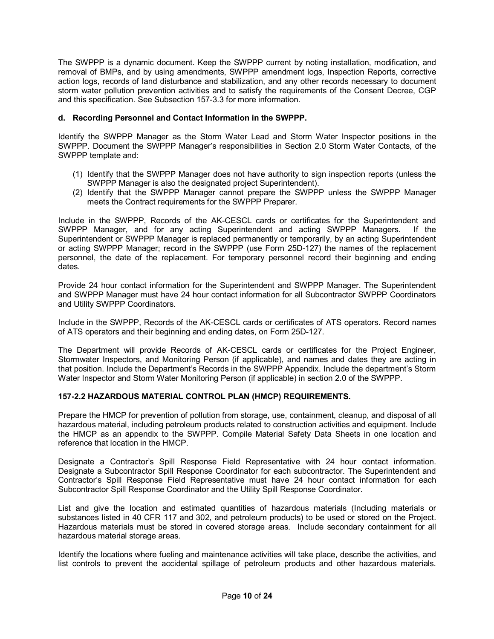The SWPPP is a dynamic document. Keep the SWPPP current by noting installation, modification, and removal of BMPs, and by using amendments, SWPPP amendment logs, Inspection Reports, corrective action logs, records of land disturbance and stabilization, and any other records necessary to document storm water pollution prevention activities and to satisfy the requirements of the Consent Decree, CGP and this specification. See Subsection 157-3.3 for more information.

# **d. Recording Personnel and Contact Information in the SWPPP.**

Identify the SWPPP Manager as the Storm Water Lead and Storm Water Inspector positions in the SWPPP. Document the SWPPP Manager's responsibilities in Section 2.0 Storm Water Contacts, of the SWPPP template and:

- (1) Identify that the SWPPP Manager does not have authority to sign inspection reports (unless the SWPPP Manager is also the designated project Superintendent).
- (2) Identify that the SWPPP Manager cannot prepare the SWPPP unless the SWPPP Manager meets the Contract requirements for the SWPPP Preparer.

Include in the SWPPP, Records of the AK-CESCL cards or certificates for the Superintendent and SWPPP Manager, and for any acting Superintendent and acting SWPPP Managers. If the Superintendent or SWPPP Manager is replaced permanently or temporarily, by an acting Superintendent or acting SWPPP Manager; record in the SWPPP (use Form 25D-127) the names of the replacement personnel, the date of the replacement. For temporary personnel record their beginning and ending dates.

Provide 24 hour contact information for the Superintendent and SWPPP Manager. The Superintendent and SWPPP Manager must have 24 hour contact information for all Subcontractor SWPPP Coordinators and Utility SWPPP Coordinators.

Include in the SWPPP, Records of the AK-CESCL cards or certificates of ATS operators. Record names of ATS operators and their beginning and ending dates, on Form 25D-127.

The Department will provide Records of AK-CESCL cards or certificates for the Project Engineer, Stormwater Inspectors, and Monitoring Person (if applicable), and names and dates they are acting in that position. Include the Department's Records in the SWPPP Appendix. Include the department's Storm Water Inspector and Storm Water Monitoring Person (if applicable) in section 2.0 of the SWPPP.

# **1572.2 HAZARDOUS MATERIAL CONTROL PLAN (HMCP) REQUIREMENTS.**

Prepare the HMCP for prevention of pollution from storage, use, containment, cleanup, and disposal of all hazardous material, including petroleum products related to construction activities and equipment. Include the HMCP as an appendix to the SWPPP. Compile Material Safety Data Sheets in one location and reference that location in the HMCP.

Designate a Contractor's Spill Response Field Representative with 24 hour contact information. Designate a Subcontractor Spill Response Coordinator for each subcontractor. The Superintendent and Contractor's Spill Response Field Representative must have 24 hour contact information for each Subcontractor Spill Response Coordinator and the Utility Spill Response Coordinator.

List and give the location and estimated quantities of hazardous materials (Including materials or substances listed in 40 CFR 117 and 302, and petroleum products) to be used or stored on the Project. Hazardous materials must be stored in covered storage areas. Include secondary containment for all hazardous material storage areas.

Identify the locations where fueling and maintenance activities will take place, describe the activities, and list controls to prevent the accidental spillage of petroleum products and other hazardous materials.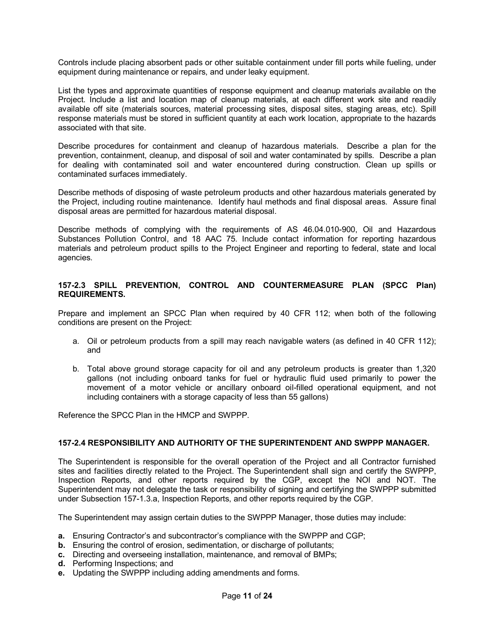Controls include placing absorbent pads or other suitable containment under fill ports while fueling, under equipment during maintenance or repairs, and under leaky equipment.

List the types and approximate quantities of response equipment and cleanup materials available on the Project. Include a list and location map of cleanup materials, at each different work site and readily available off site (materials sources, material processing sites, disposal sites, staging areas, etc). Spill response materials must be stored in sufficient quantity at each work location, appropriate to the hazards associated with that site.

Describe procedures for containment and cleanup of hazardous materials. Describe a plan for the prevention, containment, cleanup, and disposal of soil and water contaminated by spills. Describe a plan for dealing with contaminated soil and water encountered during construction. Clean up spills or contaminated surfaces immediately.

Describe methods of disposing of waste petroleum products and other hazardous materials generated by the Project, including routine maintenance. Identify haul methods and final disposal areas. Assure final disposal areas are permitted for hazardous material disposal.

Describe methods of complying with the requirements of AS 46.04.010-900, Oil and Hazardous Substances Pollution Control, and 18 AAC 75. Include contact information for reporting hazardous materials and petroleum product spills to the Project Engineer and reporting to federal, state and local agencies.

# **1572.3 SPILL PREVENTION, CONTROL AND COUNTERMEASURE PLAN (SPCC Plan) REQUIREMENTS.**

Prepare and implement an SPCC Plan when required by 40 CFR 112; when both of the following conditions are present on the Project:

- a. Oil or petroleum products from a spill may reach navigable waters (as defined in 40 CFR 112); and
- b. Total above ground storage capacity for oil and any petroleum products is greater than 1,320 gallons (not including onboard tanks for fuel or hydraulic fluid used primarily to power the movement of a motor vehicle or ancillary onboard oil-filled operational equipment, and not including containers with a storage capacity of less than 55 gallons)

Reference the SPCC Plan in the HMCP and SWPPP.

# **1572.4 RESPONSIBILITY AND AUTHORITY OF THE SUPERINTENDENT AND SWPPP MANAGER.**

The Superintendent is responsible for the overall operation of the Project and all Contractor furnished sites and facilities directly related to the Project. The Superintendent shall sign and certify the SWPPP, Inspection Reports, and other reports required by the CGP, except the NOI and NOT. The Superintendent may not delegate the task or responsibility of signing and certifying the SWPPP submitted under Subsection 157-1.3.a, Inspection Reports, and other reports required by the CGP.

The Superintendent may assign certain duties to the SWPPP Manager, those duties may include:

- **a.** Ensuring Contractor's and subcontractor's compliance with the SWPPP and CGP;
- **b.** Ensuring the control of erosion, sedimentation, or discharge of pollutants;
- **c.** Directing and overseeing installation, maintenance, and removal of BMPs;
- **d.** Performing Inspections; and
- **e.** Updating the SWPPP including adding amendments and forms.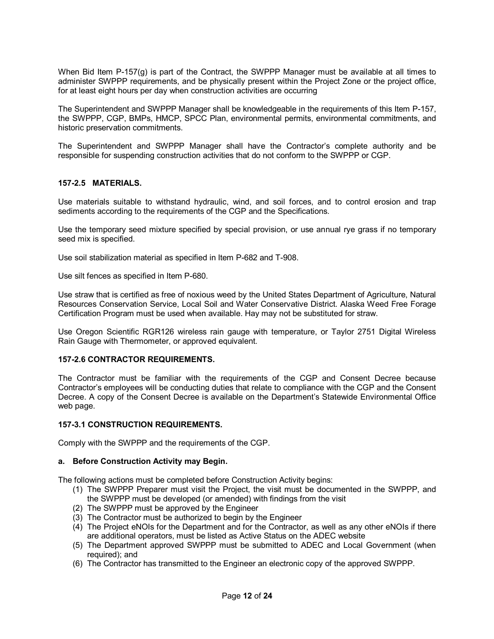When Bid Item P-157(g) is part of the Contract, the SWPPP Manager must be available at all times to administer SWPPP requirements, and be physically present within the Project Zone or the project office, for at least eight hours per day when construction activities are occurring

The Superintendent and SWPPP Manager shall be knowledgeable in the requirements of this Item P157, the SWPPP, CGP, BMPs, HMCP, SPCC Plan, environmental permits, environmental commitments, and historic preservation commitments.

The Superintendent and SWPPP Manager shall have the Contractor's complete authority and be responsible for suspending construction activities that do not conform to the SWPPP or CGP.

## **1572.5 MATERIALS.**

Use materials suitable to withstand hydraulic, wind, and soil forces, and to control erosion and trap sediments according to the requirements of the CGP and the Specifications.

Use the temporary seed mixture specified by special provision, or use annual rye grass if no temporary seed mix is specified.

Use soil stabilization material as specified in Item P-682 and T-908.

Use silt fences as specified in Item P-680.

Use straw that is certified as free of noxious weed by the United States Department of Agriculture, Natural Resources Conservation Service, Local Soil and Water Conservative District. Alaska Weed Free Forage Certification Program must be used when available. Hay may not be substituted for straw.

Use Oregon Scientific RGR126 wireless rain gauge with temperature, or Taylor 2751 Digital Wireless Rain Gauge with Thermometer, or approved equivalent.

# **1572.6 CONTRACTOR REQUIREMENTS.**

The Contractor must be familiar with the requirements of the CGP and Consent Decree because Contractor's employees will be conducting duties that relate to compliance with the CGP and the Consent Decree. A copy of the Consent Decree is available on the Department's Statewide Environmental Office web page.

#### **1573.1 CONSTRUCTION REQUIREMENTS.**

Comply with the SWPPP and the requirements of the CGP.

#### **a. Before Construction Activity may Begin.**

The following actions must be completed before Construction Activity begins:

- (1) The SWPPP Preparer must visit the Project, the visit must be documented in the SWPPP, and the SWPPP must be developed (or amended) with findings from the visit
- (2) The SWPPP must be approved by the Engineer
- (3) The Contractor must be authorized to begin by the Engineer
- (4) The Project eNOIs for the Department and for the Contractor, as well as any other eNOIs if there are additional operators, must be listed as Active Status on the ADEC website
- (5) The Department approved SWPPP must be submitted to ADEC and Local Government (when required); and
- (6) The Contractor has transmitted to the Engineer an electronic copy of the approved SWPPP.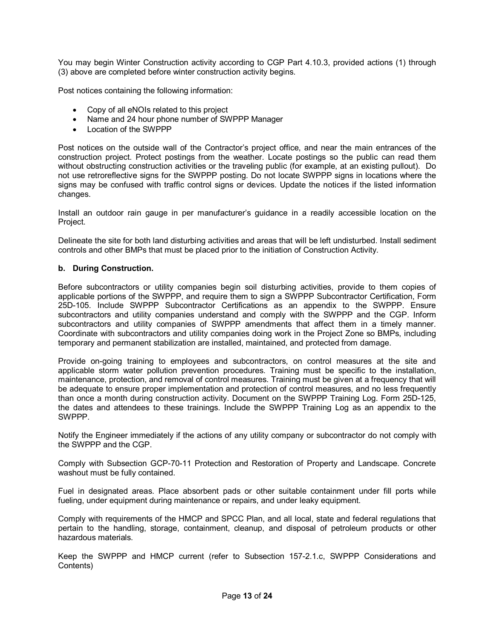You may begin Winter Construction activity according to CGP Part 4.10.3, provided actions (1) through (3) above are completed before winter construction activity begins.

Post notices containing the following information:

- · Copy of all eNOIs related to this project
- · Name and 24 hour phone number of SWPPP Manager
- · Location of the SWPPP

Post notices on the outside wall of the Contractor's project office, and near the main entrances of the construction project. Protect postings from the weather. Locate postings so the public can read them without obstructing construction activities or the traveling public (for example, at an existing pullout). Do not use retroreflective signs for the SWPPP posting. Do not locate SWPPP signs in locations where the signs may be confused with traffic control signs or devices. Update the notices if the listed information changes.

Install an outdoor rain gauge in per manufacturer's guidance in a readily accessible location on the Project.

Delineate the site for both land disturbing activities and areas that will be left undisturbed. Install sediment controls and other BMPs that must be placed prior to the initiation of Construction Activity.

# **b. During Construction.**

Before subcontractors or utility companies begin soil disturbing activities, provide to them copies of applicable portions of the SWPPP, and require them to sign a SWPPP Subcontractor Certification, Form 25D-105. Include SWPPP Subcontractor Certifications as an appendix to the SWPPP. Ensure subcontractors and utility companies understand and comply with the SWPPP and the CGP. Inform subcontractors and utility companies of SWPPP amendments that affect them in a timely manner. Coordinate with subcontractors and utility companies doing work in the Project Zone so BMPs, including temporary and permanent stabilization are installed, maintained, and protected from damage.

Provide on-going training to employees and subcontractors, on control measures at the site and applicable storm water pollution prevention procedures. Training must be specific to the installation, maintenance, protection, and removal of control measures. Training must be given at a frequency that will be adequate to ensure proper implementation and protection of control measures, and no less frequently than once a month during construction activity. Document on the SWPPP Training Log. Form 25D-125, the dates and attendees to these trainings. Include the SWPPP Training Log as an appendix to the SWPPP.

Notify the Engineer immediately if the actions of any utility company or subcontractor do not comply with the SWPPP and the CGP.

Comply with Subsection GCP-70-11 Protection and Restoration of Property and Landscape. Concrete washout must be fully contained.

Fuel in designated areas. Place absorbent pads or other suitable containment under fill ports while fueling, under equipment during maintenance or repairs, and under leaky equipment.

Comply with requirements of the HMCP and SPCC Plan, and all local, state and federal regulations that pertain to the handling, storage, containment, cleanup, and disposal of petroleum products or other hazardous materials.

Keep the SWPPP and HMCP current (refer to Subsection 1572.1.c, SWPPP Considerations and Contents)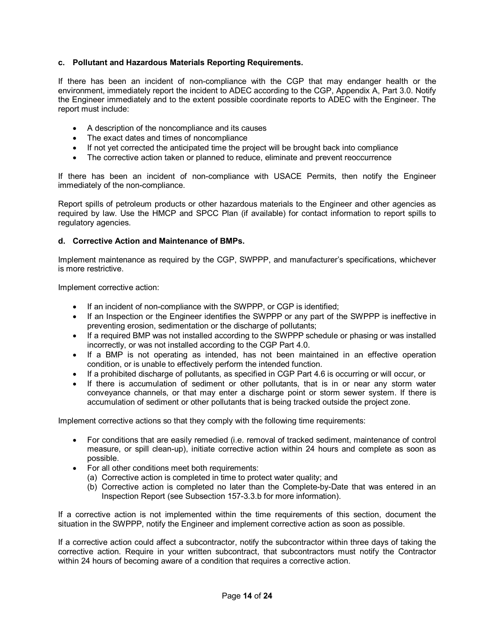# **c. Pollutant and Hazardous Materials Reporting Requirements.**

If there has been an incident of non-compliance with the CGP that may endanger health or the environment, immediately report the incident to ADEC according to the CGP, Appendix A, Part 3.0. Notify the Engineer immediately and to the extent possible coordinate reports to ADEC with the Engineer. The report must include:

- · A description of the noncompliance and its causes
- The exact dates and times of noncompliance
- · If not yet corrected the anticipated time the project will be brought back into compliance
- The corrective action taken or planned to reduce, eliminate and prevent reoccurrence

If there has been an incident of noncompliance with USACE Permits, then notify the Engineer immediately of the non-compliance.

Report spills of petroleum products or other hazardous materials to the Engineer and other agencies as required by law. Use the HMCP and SPCC Plan (if available) for contact information to report spills to regulatory agencies.

## **d. Corrective Action and Maintenance of BMPs.**

Implement maintenance as required by the CGP, SWPPP, and manufacturer's specifications, whichever is more restrictive.

Implement corrective action:

- If an incident of non-compliance with the SWPPP, or CGP is identified;
- If an Inspection or the Engineer identifies the SWPPP or any part of the SWPPP is ineffective in preventing erosion, sedimentation or the discharge of pollutants;
- · If a required BMP was not installed according to the SWPPP schedule or phasing or was installed incorrectly, or was not installed according to the CGP Part 4.0.
- If a BMP is not operating as intended, has not been maintained in an effective operation condition, or is unable to effectively perform the intended function.
- · If a prohibited discharge of pollutants, as specified in CGP Part 4.6 is occurring or will occur, or
- If there is accumulation of sediment or other pollutants, that is in or near any storm water conveyance channels, or that may enter a discharge point or storm sewer system. If there is accumulation of sediment or other pollutants that is being tracked outside the project zone.

Implement corrective actions so that they comply with the following time requirements:

- For conditions that are easily remedied (i.e. removal of tracked sediment, maintenance of control measure, or spill clean-up), initiate corrective action within 24 hours and complete as soon as possible.
- · For all other conditions meet both requirements:
	- (a) Corrective action is completed in time to protect water quality; and
	- (b) Corrective action is completed no later than the Complete-by-Date that was entered in an Inspection Report (see Subsection 157-3.3.b for more information).

If a corrective action is not implemented within the time requirements of this section, document the situation in the SWPPP, notify the Engineer and implement corrective action as soon as possible.

If a corrective action could affect a subcontractor, notify the subcontractor within three days of taking the corrective action. Require in your written subcontract, that subcontractors must notify the Contractor within 24 hours of becoming aware of a condition that requires a corrective action.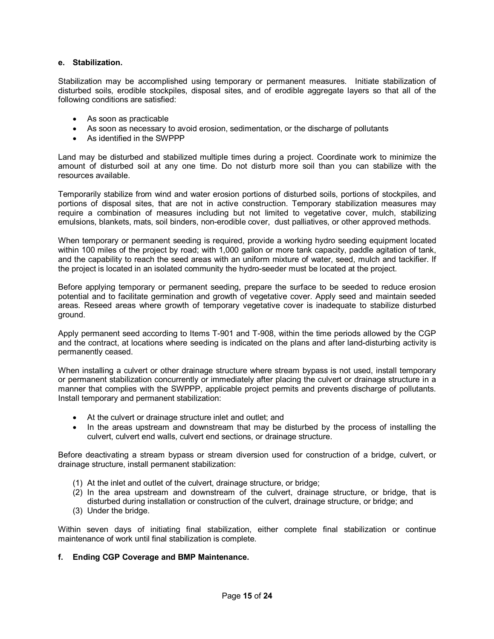### **e. Stabilization.**

Stabilization may be accomplished using temporary or permanent measures. Initiate stabilization of disturbed soils, erodible stockpiles, disposal sites, and of erodible aggregate layers so that all of the following conditions are satisfied:

- · As soon as practicable
- · As soon as necessary to avoid erosion, sedimentation, or the discharge of pollutants
- · As identified in the SWPPP

Land may be disturbed and stabilized multiple times during a project. Coordinate work to minimize the amount of disturbed soil at any one time. Do not disturb more soil than you can stabilize with the resources available.

Temporarily stabilize from wind and water erosion portions of disturbed soils, portions of stockpiles, and portions of disposal sites, that are not in active construction. Temporary stabilization measures may require a combination of measures including but not limited to vegetative cover, mulch, stabilizing emulsions, blankets, mats, soil binders, non-erodible cover, dust palliatives, or other approved methods.

When temporary or permanent seeding is required, provide a working hydro seeding equipment located within 100 miles of the project by road; with 1,000 gallon or more tank capacity, paddle agitation of tank, and the capability to reach the seed areas with an uniform mixture of water, seed, mulch and tackifier. If the project is located in an isolated community the hydro-seeder must be located at the project.

Before applying temporary or permanent seeding, prepare the surface to be seeded to reduce erosion potential and to facilitate germination and growth of vegetative cover. Apply seed and maintain seeded areas. Reseed areas where growth of temporary vegetative cover is inadequate to stabilize disturbed ground.

Apply permanent seed according to Items T-901 and T-908, within the time periods allowed by the CGP and the contract, at locations where seeding is indicated on the plans and after land-disturbing activity is permanently ceased.

When installing a culvert or other drainage structure where stream bypass is not used, install temporary or permanent stabilization concurrently or immediately after placing the culvert or drainage structure in a manner that complies with the SWPPP, applicable project permits and prevents discharge of pollutants. Install temporary and permanent stabilization:

- At the culvert or drainage structure inlet and outlet; and
- · In the areas upstream and downstream that may be disturbed by the process of installing the culvert, culvert end walls, culvert end sections, or drainage structure.

Before deactivating a stream bypass or stream diversion used for construction of a bridge, culvert, or drainage structure, install permanent stabilization:

- (1) At the inlet and outlet of the culvert, drainage structure, or bridge;
- (2) In the area upstream and downstream of the culvert, drainage structure, or bridge, that is disturbed during installation or construction of the culvert, drainage structure, or bridge; and
- (3) Under the bridge.

Within seven days of initiating final stabilization, either complete final stabilization or continue maintenance of work until final stabilization is complete.

#### **f. Ending CGP Coverage and BMP Maintenance.**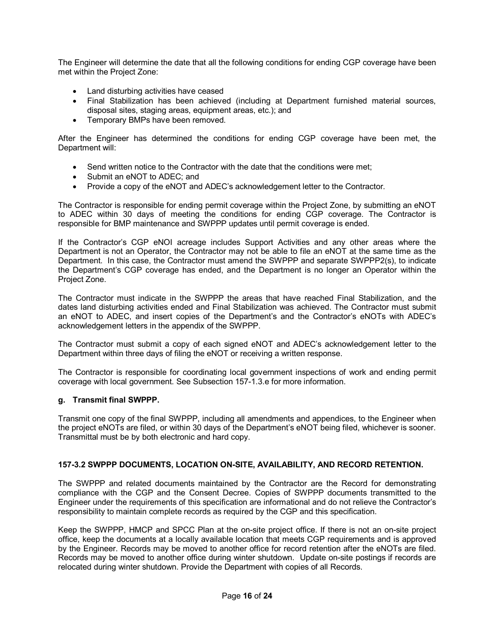The Engineer will determine the date that all the following conditions for ending CGP coverage have been met within the Project Zone:

- · Land disturbing activities have ceased
- · Final Stabilization has been achieved (including at Department furnished material sources, disposal sites, staging areas, equipment areas, etc.); and
- · Temporary BMPs have been removed.

After the Engineer has determined the conditions for ending CGP coverage have been met, the Department will:

- · Send written notice to the Contractor with the date that the conditions were met;
- Submit an eNOT to ADEC; and
- · Provide a copy of the eNOT and ADEC's acknowledgement letter to the Contractor.

The Contractor is responsible for ending permit coverage within the Project Zone, by submitting an eNOT to ADEC within 30 days of meeting the conditions for ending CGP coverage. The Contractor is responsible for BMP maintenance and SWPPP updates until permit coverage is ended.

If the Contractor's CGP eNOI acreage includes Support Activities and any other areas where the Department is not an Operator, the Contractor may not be able to file an eNOT at the same time as the Department. In this case, the Contractor must amend the SWPPP and separate SWPPP2(s), to indicate the Department's CGP coverage has ended, and the Department is no longer an Operator within the Project Zone.

The Contractor must indicate in the SWPPP the areas that have reached Final Stabilization, and the dates land disturbing activities ended and Final Stabilization was achieved. The Contractor must submit an eNOT to ADEC, and insert copies of the Department's and the Contractor's eNOTs with ADEC's acknowledgement letters in the appendix of the SWPPP.

The Contractor must submit a copy of each signed eNOT and ADEC's acknowledgement letter to the Department within three days of filing the eNOT or receiving a written response.

The Contractor is responsible for coordinating local government inspections of work and ending permit coverage with local government. See Subsection 157-1.3.e for more information.

# **g. Transmit final SWPPP.**

Transmit one copy of the final SWPPP, including all amendments and appendices, to the Engineer when the project eNOTs are filed, or within 30 days of the Department's eNOT being filed, whichever is sooner. Transmittal must be by both electronic and hard copy.

# **1573.2 SWPPP DOCUMENTS, LOCATION ONSITE, AVAILABILITY, AND RECORD RETENTION.**

The SWPPP and related documents maintained by the Contractor are the Record for demonstrating compliance with the CGP and the Consent Decree. Copies of SWPPP documents transmitted to the Engineer under the requirements of this specification are informational and do not relieve the Contractor's responsibility to maintain complete records as required by the CGP and this specification.

Keep the SWPPP, HMCP and SPCC Plan at the on-site project office. If there is not an on-site project office, keep the documents at a locally available location that meets CGP requirements and is approved by the Engineer. Records may be moved to another office for record retention after the eNOTs are filed. Records may be moved to another office during winter shutdown. Update on-site postings if records are relocated during winter shutdown. Provide the Department with copies of all Records.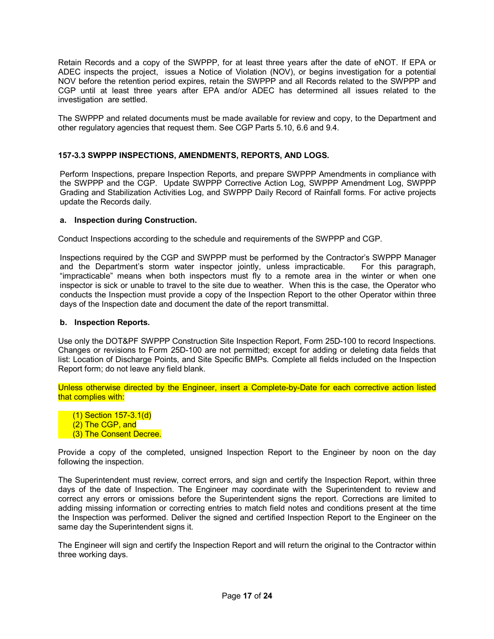Retain Records and a copy of the SWPPP, for at least three years after the date of eNOT. If EPA or ADEC inspects the project, issues a Notice of Violation (NOV), or begins investigation for a potential NOV before the retention period expires, retain the SWPPP and all Records related to the SWPPP and CGP until at least three years after EPA and/or ADEC has determined all issues related to the investigation are settled.

The SWPPP and related documents must be made available for review and copy, to the Department and other regulatory agencies that request them. See CGP Parts 5.10, 6.6 and 9.4.

# **1573.3 SWPPP INSPECTIONS, AMENDMENTS, REPORTS, AND LOGS.**

Perform Inspections, prepare Inspection Reports, and prepare SWPPP Amendments in compliance with the SWPPP and the CGP. Update SWPPP Corrective Action Log, SWPPP Amendment Log, SWPPP Grading and Stabilization Activities Log, and SWPPP Daily Record of Rainfall forms. For active projects update the Records daily.

# **a. Inspection during Construction.**

Conduct Inspections according to the schedule and requirements of the SWPPP and CGP.

Inspections required by the CGP and SWPPP must be performed by the Contractor's SWPPP Manager and the Department's storm water inspector jointly, unless impracticable. For this paragraph, "impracticable" means when both inspectors must fly to a remote area in the winter or when one inspector is sick or unable to travel to the site due to weather. When this is the case, the Operator who conducts the Inspection must provide a copy of the Inspection Report to the other Operator within three days of the Inspection date and document the date of the report transmittal.

# **b. Inspection Reports.**

Use only the DOT&PF SWPPP Construction Site Inspection Report, Form 25D-100 to record Inspections. Changes or revisions to Form 25D-100 are not permitted; except for adding or deleting data fields that list: Location of Discharge Points, and Site Specific BMPs. Complete all fields included on the Inspection Report form; do not leave any field blank.

Unless otherwise directed by the Engineer, insert a Complete-by-Date for each corrective action listed that complies with:

- $(1)$  Section 157-3.1(d)
- (2) The CGP, and
- (3) The Consent Decree.

Provide a copy of the completed, unsigned Inspection Report to the Engineer by noon on the day following the inspection.

The Superintendent must review, correct errors, and sign and certify the Inspection Report, within three days of the date of Inspection. The Engineer may coordinate with the Superintendent to review and correct any errors or omissions before the Superintendent signs the report. Corrections are limited to adding missing information or correcting entries to match field notes and conditions present at the time the Inspection was performed. Deliver the signed and certified Inspection Report to the Engineer on the same day the Superintendent signs it.

The Engineer will sign and certify the Inspection Report and will return the original to the Contractor within three working days.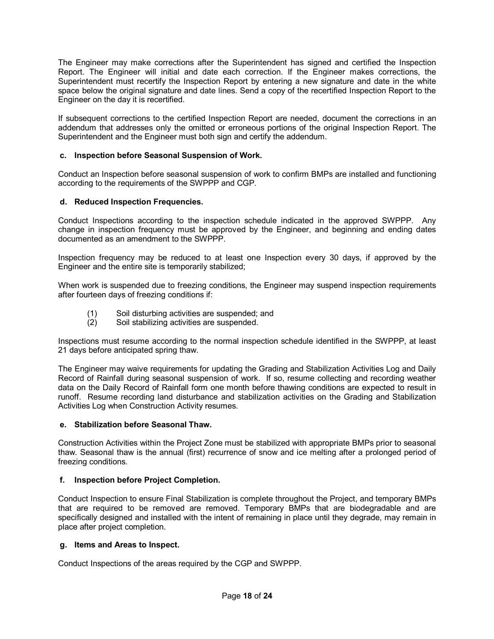The Engineer may make corrections after the Superintendent has signed and certified the Inspection Report. The Engineer will initial and date each correction. If the Engineer makes corrections, the Superintendent must recertify the Inspection Report by entering a new signature and date in the white space below the original signature and date lines. Send a copy of the recertified Inspection Report to the Engineer on the day it is recertified.

If subsequent corrections to the certified Inspection Report are needed, document the corrections in an addendum that addresses only the omitted or erroneous portions of the original Inspection Report. The Superintendent and the Engineer must both sign and certify the addendum.

# **c. Inspection before Seasonal Suspension of Work.**

Conduct an Inspection before seasonal suspension of work to confirm BMPs are installed and functioning according to the requirements of the SWPPP and CGP.

# **d. Reduced Inspection Frequencies.**

Conduct Inspections according to the inspection schedule indicated in the approved SWPPP. Any change in inspection frequency must be approved by the Engineer, and beginning and ending dates documented as an amendment to the SWPPP.

Inspection frequency may be reduced to at least one Inspection every 30 days, if approved by the Engineer and the entire site is temporarily stabilized;

When work is suspended due to freezing conditions, the Engineer may suspend inspection requirements after fourteen days of freezing conditions if:

- (1) Soil disturbing activities are suspended; and
- (2) Soil stabilizing activities are suspended.

Inspections must resume according to the normal inspection schedule identified in the SWPPP, at least 21 days before anticipated spring thaw.

The Engineer may waive requirements for updating the Grading and Stabilization Activities Log and Daily Record of Rainfall during seasonal suspension of work. If so, resume collecting and recording weather data on the Daily Record of Rainfall form one month before thawing conditions are expected to result in runoff. Resume recording land disturbance and stabilization activities on the Grading and Stabilization Activities Log when Construction Activity resumes.

# **e. Stabilization before Seasonal Thaw.**

Construction Activities within the Project Zone must be stabilized with appropriate BMPs prior to seasonal thaw. Seasonal thaw is the annual (first) recurrence of snow and ice melting after a prolonged period of freezing conditions.

# **f. Inspection before Project Completion.**

Conduct Inspection to ensure Final Stabilization is complete throughout the Project, and temporary BMPs that are required to be removed are removed. Temporary BMPs that are biodegradable and are specifically designed and installed with the intent of remaining in place until they degrade, may remain in place after project completion.

# **g. Items and Areas to Inspect.**

Conduct Inspections of the areas required by the CGP and SWPPP.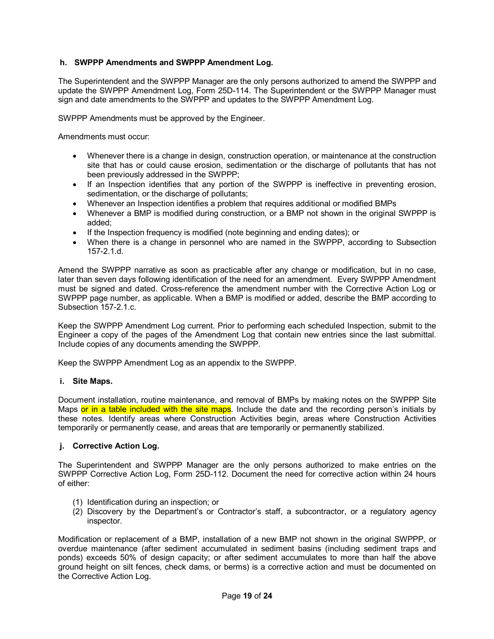# **h. SWPPP Amendments and SWPPP Amendment Log.**

The Superintendent and the SWPPP Manager are the only persons authorized to amend the SWPPP and update the SWPPP Amendment Log, Form 25D-114. The Superintendent or the SWPPP Manager must sign and date amendments to the SWPPP and updates to the SWPPP Amendment Log.

SWPPP Amendments must be approved by the Engineer.

Amendments must occur:

- · Whenever there is a change in design, construction operation, or maintenance at the construction site that has or could cause erosion, sedimentation or the discharge of pollutants that has not been previously addressed in the SWPPP;
- · If an Inspection identifies that any portion of the SWPPP is ineffective in preventing erosion, sedimentation, or the discharge of pollutants;
- · Whenever an Inspection identifies a problem that requires additional or modified BMPs
- · Whenever a BMP is modified during construction, or a BMP not shown in the original SWPPP is added;
- · If the Inspection frequency is modified (note beginning and ending dates); or
- · When there is a change in personnel who are named in the SWPPP, according to Subsection 157-2 1 d

Amend the SWPPP narrative as soon as practicable after any change or modification, but in no case, later than seven days following identification of the need for an amendment. Every SWPPP Amendment must be signed and dated. Cross-reference the amendment number with the Corrective Action Log or SWPPP page number, as applicable. When a BMP is modified or added, describe the BMP according to Subsection 157-2.1.c.

Keep the SWPPP Amendment Log current. Prior to performing each scheduled Inspection, submit to the Engineer a copy of the pages of the Amendment Log that contain new entries since the last submittal. Include copies of any documents amending the SWPPP.

Keep the SWPPP Amendment Log as an appendix to the SWPPP.

#### **i. Site Maps.**

Document installation, routine maintenance, and removal of BMPs by making notes on the SWPPP Site Maps or in a table included with the site maps. Include the date and the recording person's initials by these notes. Identify areas where Construction Activities begin, areas where Construction Activities temporarily or permanently cease, and areas that are temporarily or permanently stabilized.

### **j. Corrective Action Log.**

The Superintendent and SWPPP Manager are the only persons authorized to make entries on the SWPPP Corrective Action Log, Form 25D-112. Document the need for corrective action within 24 hours of either:

- (1) Identification during an inspection; or
- (2) Discovery by the Department's or Contractor's staff, a subcontractor, or a regulatory agency inspector.

Modification or replacement of a BMP, installation of a new BMP not shown in the original SWPPP, or overdue maintenance (after sediment accumulated in sediment basins (including sediment traps and ponds) exceeds 50% of design capacity; or after sediment accumulates to more than half the above ground height on silt fences, check dams, or berms) is a corrective action and must be documented on the Corrective Action Log.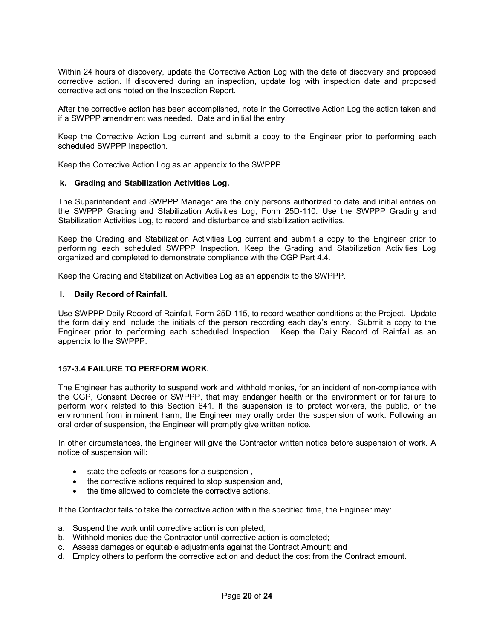Within 24 hours of discovery, update the Corrective Action Log with the date of discovery and proposed corrective action. If discovered during an inspection, update log with inspection date and proposed corrective actions noted on the Inspection Report.

After the corrective action has been accomplished, note in the Corrective Action Log the action taken and if a SWPPP amendment was needed. Date and initial the entry.

Keep the Corrective Action Log current and submit a copy to the Engineer prior to performing each scheduled SWPPP Inspection.

Keep the Corrective Action Log as an appendix to the SWPPP.

#### **k. Grading and Stabilization Activities Log.**

The Superintendent and SWPPP Manager are the only persons authorized to date and initial entries on the SWPPP Grading and Stabilization Activities Log, Form 25D-110. Use the SWPPP Grading and Stabilization Activities Log, to record land disturbance and stabilization activities.

Keep the Grading and Stabilization Activities Log current and submit a copy to the Engineer prior to performing each scheduled SWPPP Inspection. Keep the Grading and Stabilization Activities Log organized and completed to demonstrate compliance with the CGP Part 4.4.

Keep the Grading and Stabilization Activities Log as an appendix to the SWPPP.

#### **l. Daily Record of Rainfall.**

Use SWPPP Daily Record of Rainfall, Form 25D-115, to record weather conditions at the Project. Update the form daily and include the initials of the person recording each day's entry. Submit a copy to the Engineer prior to performing each scheduled Inspection. Keep the Daily Record of Rainfall as an appendix to the SWPPP.

#### **1573.4 FAILURE TO PERFORM WORK.**

The Engineer has authority to suspend work and withhold monies, for an incident of non-compliance with the CGP, Consent Decree or SWPPP, that may endanger health or the environment or for failure to perform work related to this Section 641. If the suspension is to protect workers, the public, or the environment from imminent harm, the Engineer may orally order the suspension of work. Following an oral order of suspension, the Engineer will promptly give written notice.

In other circumstances, the Engineer will give the Contractor written notice before suspension of work. A notice of suspension will:

- · state the defects or reasons for a suspension ,
- · the corrective actions required to stop suspension and,
- the time allowed to complete the corrective actions.

If the Contractor fails to take the corrective action within the specified time, the Engineer may:

- a. Suspend the work until corrective action is completed;
- b. Withhold monies due the Contractor until corrective action is completed;
- c. Assess damages or equitable adjustments against the Contract Amount; and
- d. Employ others to perform the corrective action and deduct the cost from the Contract amount.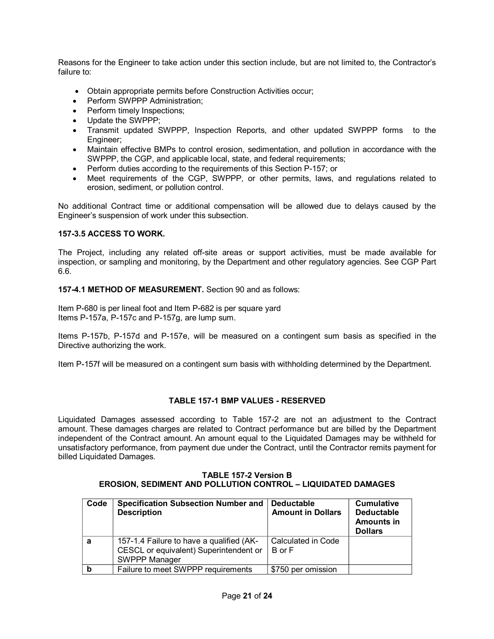Reasons for the Engineer to take action under this section include, but are not limited to, the Contractor's failure to:

- · Obtain appropriate permits before Construction Activities occur;
- Perform SWPPP Administration;
- Perform timely Inspections;
- · Update the SWPPP;
- · Transmit updated SWPPP, Inspection Reports, and other updated SWPPP forms to the Engineer;
- · Maintain effective BMPs to control erosion, sedimentation, and pollution in accordance with the SWPPP, the CGP, and applicable local, state, and federal requirements;
- Perform duties according to the requirements of this Section P-157; or
- · Meet requirements of the CGP, SWPPP, or other permits, laws, and regulations related to erosion, sediment, or pollution control.

No additional Contract time or additional compensation will be allowed due to delays caused by the Engineer's suspension of work under this subsection.

# **1573.5 ACCESS TO WORK.**

The Project, including any related off-site areas or support activities, must be made available for inspection, or sampling and monitoring, by the Department and other regulatory agencies. See CGP Part 6.6.

**1574.1 METHOD OF MEASUREMENT.** Section 90 and as follows:

Item P-680 is per lineal foot and Item P-682 is per square yard Items P-157a, P-157c and P-157g, are lump sum.

Items P-157b, P-157d and P-157e, will be measured on a contingent sum basis as specified in the Directive authorizing the work.

Item P-157f will be measured on a contingent sum basis with withholding determined by the Department.

# **TABLE 1571 BMP VALUES RESERVED**

Liquidated Damages assessed according to Table 157-2 are not an adjustment to the Contract amount. These damages charges are related to Contract performance but are billed by the Department independent of the Contract amount. An amount equal to the Liquidated Damages may be withheld for unsatisfactory performance, from payment due under the Contract, until the Contractor remits payment for billed Liquidated Damages.

#### **TABLE 1572 Version B EROSION, SEDIMENT AND POLLUTION CONTROL – LIQUIDATED DAMAGES**

| Code | <b>Specification Subsection Number and</b><br><b>Description</b>                                    | <b>Deductable</b><br><b>Amount in Dollars</b> | <b>Cumulative</b><br><b>Deductable</b><br><b>Amounts in</b><br><b>Dollars</b> |
|------|-----------------------------------------------------------------------------------------------------|-----------------------------------------------|-------------------------------------------------------------------------------|
| a    | 157-1.4 Failure to have a qualified (AK-<br>CESCL or equivalent) Superintendent or<br>SWPPP Manager | Calculated in Code<br>B or F                  |                                                                               |
|      | Failure to meet SWPPP requirements                                                                  | \$750 per omission                            |                                                                               |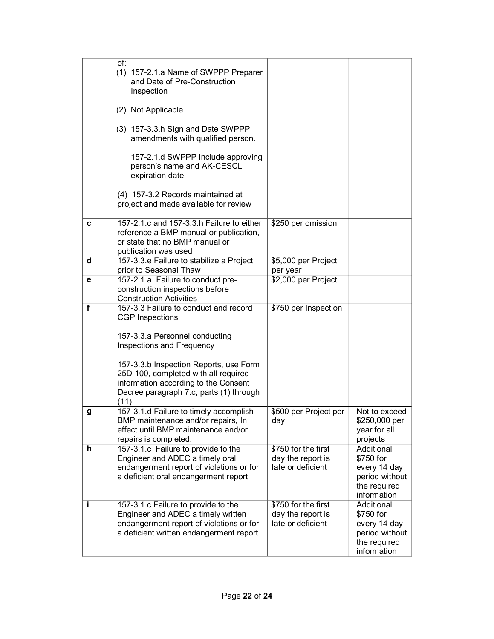|    | of:<br>(1) 157-2.1.a Name of SWPPP Preparer<br>and Date of Pre-Construction<br>Inspection<br>(2) Not Applicable                                                                                                                                                                                             |                                                               |                                                                                          |
|----|-------------------------------------------------------------------------------------------------------------------------------------------------------------------------------------------------------------------------------------------------------------------------------------------------------------|---------------------------------------------------------------|------------------------------------------------------------------------------------------|
|    | (3) 157-3.3.h Sign and Date SWPPP<br>amendments with qualified person.                                                                                                                                                                                                                                      |                                                               |                                                                                          |
|    | 157-2.1.d SWPPP Include approving<br>person's name and AK-CESCL<br>expiration date.                                                                                                                                                                                                                         |                                                               |                                                                                          |
|    | (4) 157-3.2 Records maintained at<br>project and made available for review                                                                                                                                                                                                                                  |                                                               |                                                                                          |
| c  | 157-2.1.c and 157-3.3.h Failure to either<br>reference a BMP manual or publication,<br>or state that no BMP manual or<br>publication was used                                                                                                                                                               | \$250 per omission                                            |                                                                                          |
| d  | 157-3.3.e Failure to stabilize a Project<br>prior to Seasonal Thaw                                                                                                                                                                                                                                          | \$5,000 per Project<br>per year                               |                                                                                          |
| е  | 157-2.1.a Failure to conduct pre-<br>construction inspections before<br><b>Construction Activities</b>                                                                                                                                                                                                      | \$2,000 per Project                                           |                                                                                          |
| f  | 157-3.3 Failure to conduct and record<br><b>CGP Inspections</b><br>157-3.3.a Personnel conducting<br>Inspections and Frequency<br>157-3.3.b Inspection Reports, use Form<br>25D-100, completed with all required<br>information according to the Consent<br>Decree paragraph 7.c, parts (1) through<br>(11) | \$750 per Inspection                                          |                                                                                          |
| g  | 157-3.1.d Failure to timely accomplish<br>BMP maintenance and/or repairs, In<br>effect until BMP maintenance and/or<br>repairs is completed.                                                                                                                                                                | \$500 per Project per<br>day                                  | Not to exceed<br>\$250,000 per<br>year for all<br>projects                               |
| h. | 157-3.1.c Failure to provide to the<br>Engineer and ADEC a timely oral<br>endangerment report of violations or for<br>a deficient oral endangerment report                                                                                                                                                  | \$750 for the first<br>day the report is<br>late or deficient | Additional<br>\$750 for<br>every 14 day<br>period without<br>the required<br>information |
| j. | 157-3.1.c Failure to provide to the<br>Engineer and ADEC a timely written<br>endangerment report of violations or for<br>a deficient written endangerment report                                                                                                                                            | \$750 for the first<br>day the report is<br>late or deficient | Additional<br>\$750 for<br>every 14 day<br>period without<br>the required<br>information |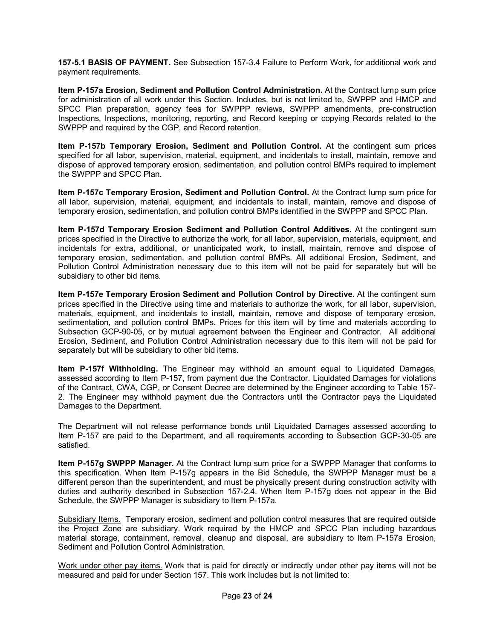**1575.1 BASIS OF PAYMENT.** See Subsection 1573.4 Failure to Perform Work, for additional work and payment requirements.

**Item P157a Erosion, Sediment and Pollution Control Administration.** At the Contract lump sum price for administration of all work under this Section. Includes, but is not limited to, SWPPP and HMCP and SPCC Plan preparation, agency fees for SWPPP reviews, SWPPP amendments, pre-construction Inspections, Inspections, monitoring, reporting, and Record keeping or copying Records related to the SWPPP and required by the CGP, and Record retention.

**Item P157b Temporary Erosion, Sediment and Pollution Control.** At the contingent sum prices specified for all labor, supervision, material, equipment, and incidentals to install, maintain, remove and dispose of approved temporary erosion, sedimentation, and pollution control BMPs required to implement the SWPPP and SPCC Plan.

**Item P157c Temporary Erosion, Sediment and Pollution Control.** At the Contract lump sum price for all labor, supervision, material, equipment, and incidentals to install, maintain, remove and dispose of temporary erosion, sedimentation, and pollution control BMPs identified in the SWPPP and SPCC Plan.

**Item P157d Temporary Erosion Sediment and Pollution Control Additives.** At the contingent sum prices specified in the Directive to authorize the work, for all labor, supervision, materials, equipment, and incidentals for extra, additional, or unanticipated work, to install, maintain, remove and dispose of temporary erosion, sedimentation, and pollution control BMPs. All additional Erosion, Sediment, and Pollution Control Administration necessary due to this item will not be paid for separately but will be subsidiary to other bid items.

**Item P157e Temporary Erosion Sediment and Pollution Control by Directive.** At the contingent sum prices specified in the Directive using time and materials to authorize the work, for all labor, supervision, materials, equipment, and incidentals to install, maintain, remove and dispose of temporary erosion, sedimentation, and pollution control BMPs. Prices for this item will by time and materials according to Subsection GCP-90-05, or by mutual agreement between the Engineer and Contractor. All additional Erosion, Sediment, and Pollution Control Administration necessary due to this item will not be paid for separately but will be subsidiary to other bid items.

**Item P157f Withholding.** The Engineer may withhold an amount equal to Liquidated Damages, assessed according to Item P157, from payment due the Contractor. Liquidated Damages for violations of the Contract, CWA, CGP, or Consent Decree are determined by the Engineer according to Table 157 2. The Engineer may withhold payment due the Contractors until the Contractor pays the Liquidated Damages to the Department.

The Department will not release performance bonds until Liquidated Damages assessed according to Item P-157 are paid to the Department, and all requirements according to Subsection GCP-30-05 are satisfied.

**Item P157g SWPPP Manager.** At the Contract lump sum price for a SWPPP Manager that conforms to this specification. When Item P-157g appears in the Bid Schedule, the SWPPP Manager must be a different person than the superintendent, and must be physically present during construction activity with duties and authority described in Subsection 157-2.4. When Item P-157g does not appear in the Bid Schedule, the SWPPP Manager is subsidiary to Item P-157a.

Subsidiary Items. Temporary erosion, sediment and pollution control measures that are required outside the Project Zone are subsidiary. Work required by the HMCP and SPCC Plan including hazardous material storage, containment, removal, cleanup and disposal, are subsidiary to Item P157a Erosion, Sediment and Pollution Control Administration.

Work under other pay items. Work that is paid for directly or indirectly under other pay items will not be measured and paid for under Section 157. This work includes but is not limited to: